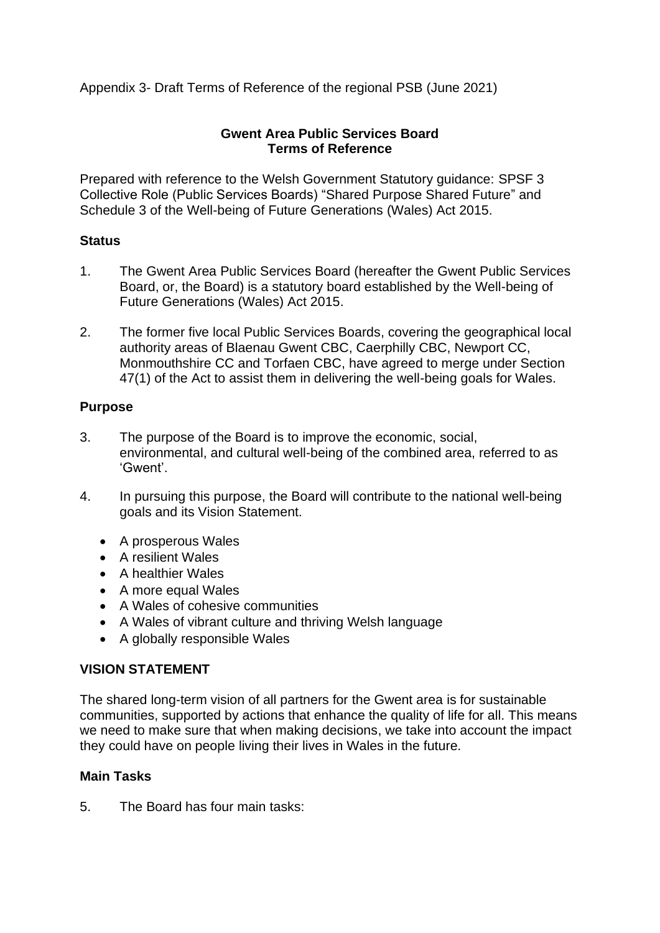Appendix 3- Draft Terms of Reference of the regional PSB (June 2021)

### **Gwent Area Public Services Board Terms of Reference**

Prepared with reference to the Welsh Government Statutory guidance: SPSF 3 Collective Role (Public Services Boards) "Shared Purpose Shared Future" and Schedule 3 of the Well-being of Future Generations (Wales) Act 2015.

### **Status**

- 1. The Gwent Area Public Services Board (hereafter the Gwent Public Services Board, or, the Board) is a statutory board established by the Well-being of Future Generations (Wales) Act 2015.
- 2. The former five local Public Services Boards, covering the geographical local authority areas of Blaenau Gwent CBC, Caerphilly CBC, Newport CC, Monmouthshire CC and Torfaen CBC, have agreed to merge under Section 47(1) of the Act to assist them in delivering the well-being goals for Wales.

# **Purpose**

- 3. The purpose of the Board is to improve the economic, social, environmental, and cultural well-being of the combined area, referred to as 'Gwent'.
- 4. In pursuing this purpose, the Board will contribute to the national well-being goals and its Vision Statement.
	- A prosperous Wales
	- A resilient Wales
	- A healthier Wales
	- A more equal Wales
	- A Wales of cohesive communities
	- A Wales of vibrant culture and thriving Welsh language
	- A globally responsible Wales

# **VISION STATEMENT**

The shared long-term vision of all partners for the Gwent area is for sustainable communities, supported by actions that enhance the quality of life for all. This means we need to make sure that when making decisions, we take into account the impact they could have on people living their lives in Wales in the future.

# **Main Tasks**

5. The Board has four main tasks: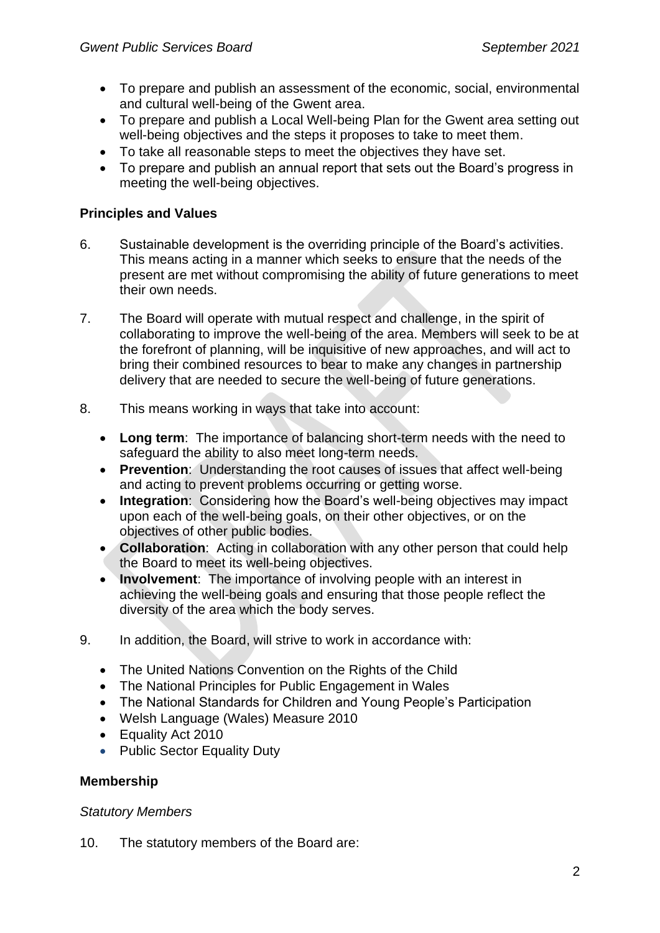- To prepare and publish an assessment of the economic, social, environmental and cultural well-being of the Gwent area.
- To prepare and publish a Local Well-being Plan for the Gwent area setting out well-being objectives and the steps it proposes to take to meet them.
- To take all reasonable steps to meet the objectives they have set.
- To prepare and publish an annual report that sets out the Board's progress in meeting the well-being objectives.

### **Principles and Values**

- 6. Sustainable development is the overriding principle of the Board's activities. This means acting in a manner which seeks to ensure that the needs of the present are met without compromising the ability of future generations to meet their own needs.
- 7. The Board will operate with mutual respect and challenge, in the spirit of collaborating to improve the well-being of the area. Members will seek to be at the forefront of planning, will be inquisitive of new approaches, and will act to bring their combined resources to bear to make any changes in partnership delivery that are needed to secure the well-being of future generations.
- 8. This means working in ways that take into account:
	- **Long term**: The importance of balancing short-term needs with the need to safeguard the ability to also meet long-term needs.
	- **Prevention**: Understanding the root causes of issues that affect well-being and acting to prevent problems occurring or getting worse.
	- **Integration**: Considering how the Board's well-being objectives may impact upon each of the well-being goals, on their other objectives, or on the objectives of other public bodies.
	- **Collaboration**: Acting in collaboration with any other person that could help the Board to meet its well-being objectives.
	- **Involvement**: The importance of involving people with an interest in achieving the well-being goals and ensuring that those people reflect the diversity of the area which the body serves.
- 9. In addition, the Board, will strive to work in accordance with:
	- The United Nations Convention on the Rights of the Child
	- The National Principles for Public Engagement in Wales
	- The National Standards for Children and Young People's Participation
	- Welsh Language (Wales) Measure 2010
	- Equality Act 2010
	- Public Sector Equality Duty

#### **Membership**

#### *Statutory Members*

10. The statutory members of the Board are: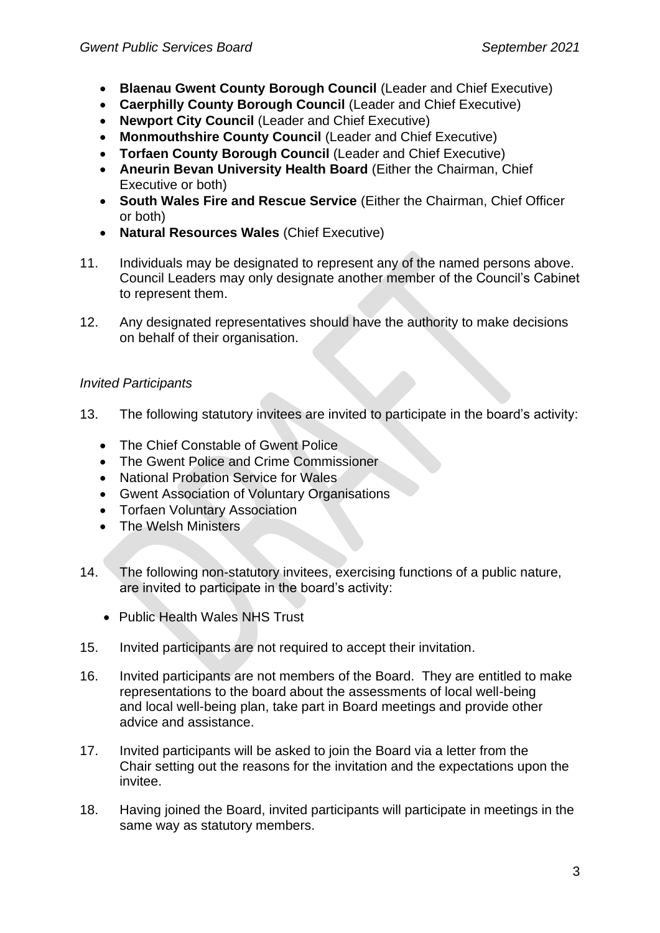- **Blaenau Gwent County Borough Council** (Leader and Chief Executive)
- **Caerphilly County Borough Council** (Leader and Chief Executive)
- **Newport City Council** (Leader and Chief Executive)
- **Monmouthshire County Council** (Leader and Chief Executive)
- **Torfaen County Borough Council** (Leader and Chief Executive)
- **Aneurin Bevan University Health Board** (Either the Chairman, Chief Executive or both)
- **South Wales Fire and Rescue Service** (Either the Chairman, Chief Officer or both)
- **Natural Resources Wales** (Chief Executive)
- 11. Individuals may be designated to represent any of the named persons above. Council Leaders may only designate another member of the Council's Cabinet to represent them.
- 12. Any designated representatives should have the authority to make decisions on behalf of their organisation.

# *Invited Participants*

- 13. The following statutory invitees are invited to participate in the board's activity:
	- The Chief Constable of Gwent Police
	- The Gwent Police and Crime Commissioner
	- National Probation Service for Wales
	- Gwent Association of Voluntary Organisations
	- Torfaen Voluntary Association
	- The Welsh Ministers
- 14. The following non-statutory invitees, exercising functions of a public nature, are invited to participate in the board's activity:
	- Public Health Wales NHS Trust
- 15. Invited participants are not required to accept their invitation.
- 16. Invited participants are not members of the Board. They are entitled to make representations to the board about the assessments of local well-being and local well-being plan, take part in Board meetings and provide other advice and assistance.
- 17. Invited participants will be asked to join the Board via a letter from the Chair setting out the reasons for the invitation and the expectations upon the invitee.
- 18. Having joined the Board, invited participants will participate in meetings in the same way as statutory members.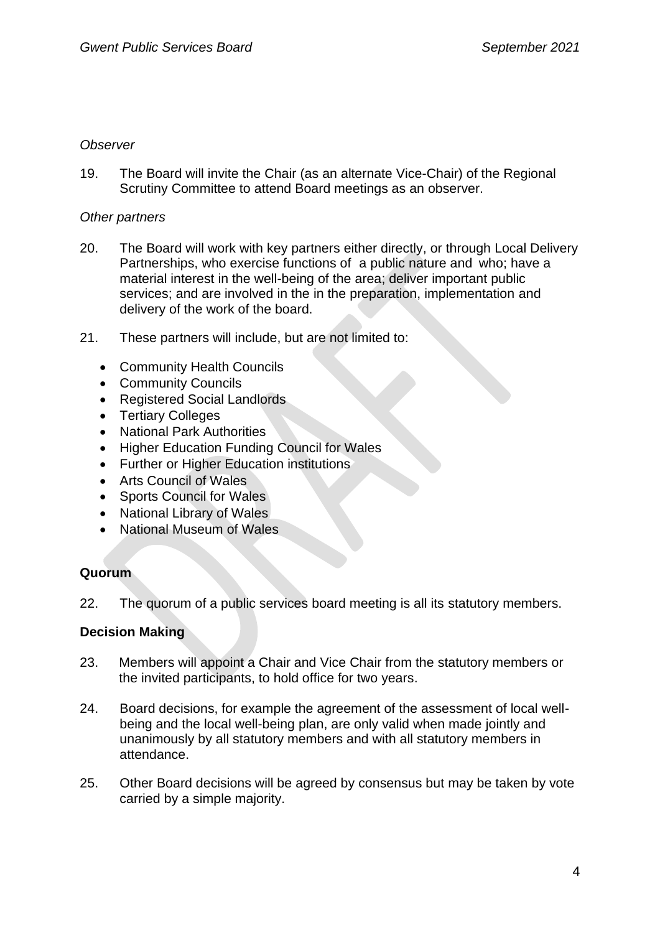#### *Observer*

19. The Board will invite the Chair (as an alternate Vice-Chair) of the Regional Scrutiny Committee to attend Board meetings as an observer.

### *Other partners*

- 20. The Board will work with key partners either directly, or through Local Delivery Partnerships, who exercise functions of a public nature and who; have a material interest in the well-being of the area; deliver important public services; and are involved in the in the preparation, implementation and delivery of the work of the board.
- 21. These partners will include, but are not limited to:
	- Community Health Councils
	- Community Councils
	- Registered Social Landlords
	- Tertiary Colleges
	- National Park Authorities
	- Higher Education Funding Council for Wales
	- Further or Higher Education institutions
	- Arts Council of Wales
	- Sports Council for Wales
	- National Library of Wales
	- National Museum of Wales

# **Quorum**

22. The quorum of a public services board meeting is all its statutory members.

# **Decision Making**

- 23. Members will appoint a Chair and Vice Chair from the statutory members or the invited participants, to hold office for two years.
- 24. Board decisions, for example the agreement of the assessment of local wellbeing and the local well-being plan, are only valid when made jointly and unanimously by all statutory members and with all statutory members in attendance.
- 25. Other Board decisions will be agreed by consensus but may be taken by vote carried by a simple majority.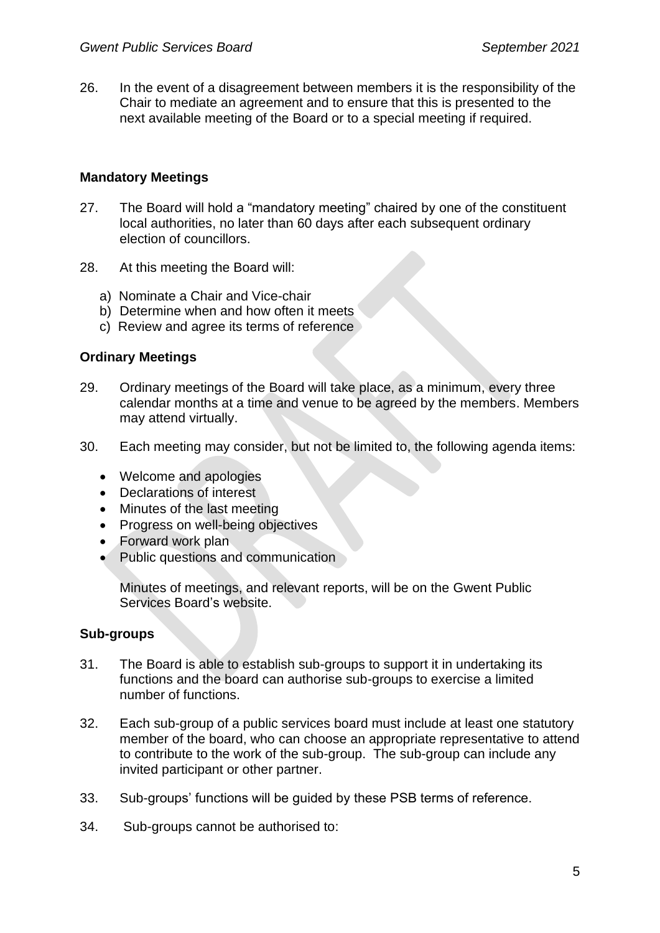26. In the event of a disagreement between members it is the responsibility of the Chair to mediate an agreement and to ensure that this is presented to the next available meeting of the Board or to a special meeting if required.

### **Mandatory Meetings**

- 27. The Board will hold a "mandatory meeting" chaired by one of the constituent local authorities, no later than 60 days after each subsequent ordinary election of councillors.
- 28. At this meeting the Board will:
	- a) Nominate a Chair and Vice-chair
	- b) Determine when and how often it meets
	- c) Review and agree its terms of reference

### **Ordinary Meetings**

- 29. Ordinary meetings of the Board will take place, as a minimum, every three calendar months at a time and venue to be agreed by the members. Members may attend virtually.
- 30. Each meeting may consider, but not be limited to, the following agenda items:
	- Welcome and apologies
	- Declarations of interest
	- Minutes of the last meeting
	- Progress on well-being objectives
	- Forward work plan
	- Public questions and communication

Minutes of meetings, and relevant reports, will be on the Gwent Public Services Board's website.

#### **Sub-groups**

- 31. The Board is able to establish sub-groups to support it in undertaking its functions and the board can authorise sub-groups to exercise a limited number of functions.
- 32. Each sub-group of a public services board must include at least one statutory member of the board, who can choose an appropriate representative to attend to contribute to the work of the sub-group. The sub-group can include any invited participant or other partner.
- 33. Sub-groups' functions will be guided by these PSB terms of reference.
- 34. Sub-groups cannot be authorised to: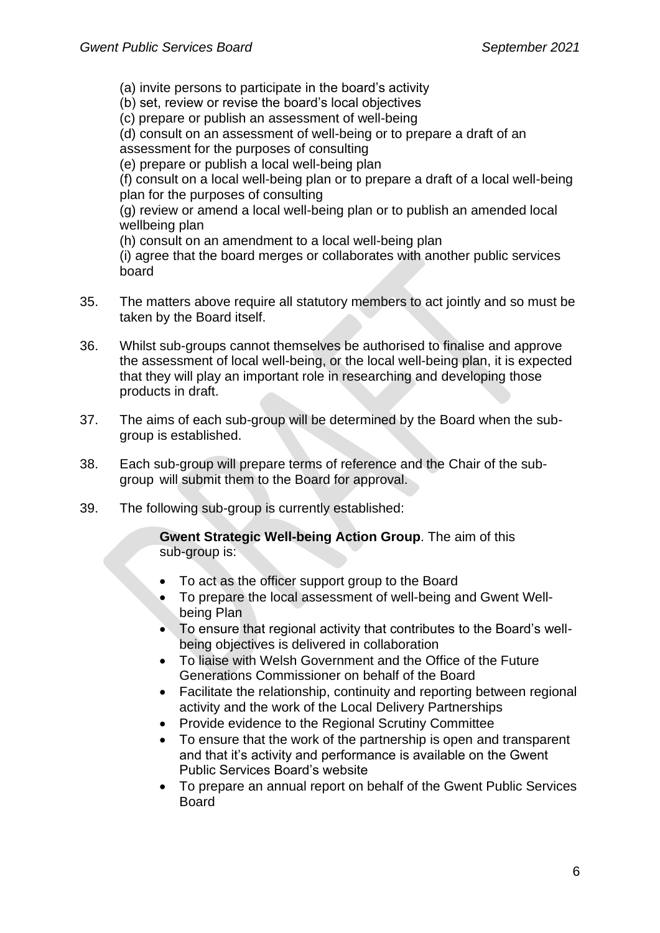(a) invite persons to participate in the board's activity

(b) set, review or revise the board's local objectives

(c) prepare or publish an assessment of well-being

(d) consult on an assessment of well-being or to prepare a draft of an

assessment for the purposes of consulting

(e) prepare or publish a local well-being plan

(f) consult on a local well-being plan or to prepare a draft of a local well-being plan for the purposes of consulting

(g) review or amend a local well-being plan or to publish an amended local wellbeing plan

(h) consult on an amendment to a local well-being plan

(i) agree that the board merges or collaborates with another public services board

- 35. The matters above require all statutory members to act jointly and so must be taken by the Board itself.
- 36. Whilst sub-groups cannot themselves be authorised to finalise and approve the assessment of local well-being, or the local well-being plan, it is expected that they will play an important role in researching and developing those products in draft.
- 37. The aims of each sub-group will be determined by the Board when the subgroup is established.
- 38. Each sub-group will prepare terms of reference and the Chair of the subgroup will submit them to the Board for approval.
- 39. The following sub-group is currently established:

**Gwent Strategic Well-being Action Group**. The aim of this sub-group is:

- To act as the officer support group to the Board
- To prepare the local assessment of well-being and Gwent Wellbeing Plan
- To ensure that regional activity that contributes to the Board's wellbeing objectives is delivered in collaboration
- To liaise with Welsh Government and the Office of the Future Generations Commissioner on behalf of the Board
- Facilitate the relationship, continuity and reporting between regional activity and the work of the Local Delivery Partnerships
- Provide evidence to the Regional Scrutiny Committee
- To ensure that the work of the partnership is open and transparent and that it's activity and performance is available on the Gwent Public Services Board's website
- To prepare an annual report on behalf of the Gwent Public Services Board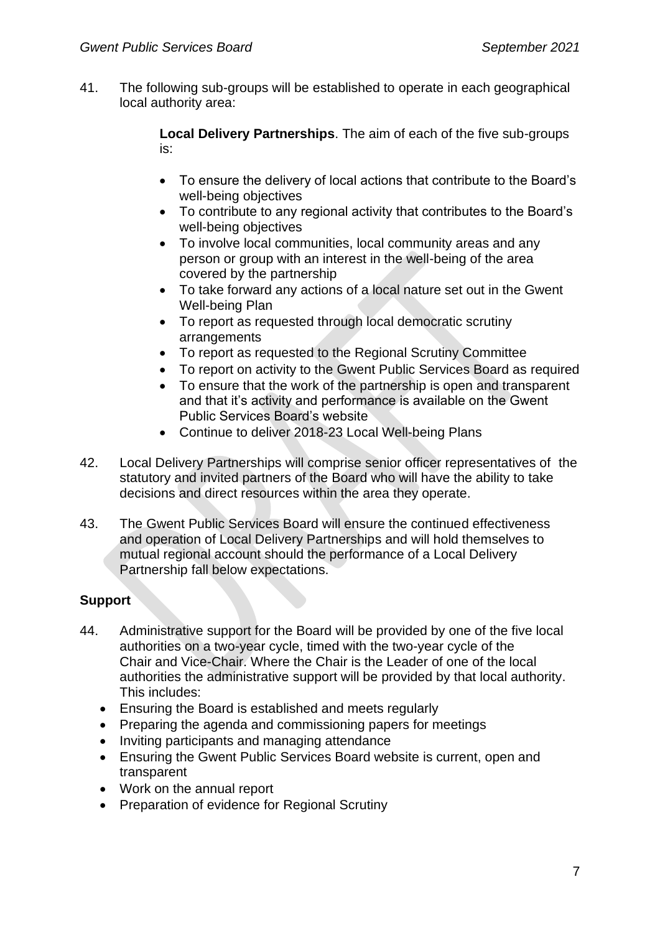41. The following sub-groups will be established to operate in each geographical local authority area:

> **Local Delivery Partnerships**. The aim of each of the five sub-groups is:

- To ensure the delivery of local actions that contribute to the Board's well-being objectives
- To contribute to any regional activity that contributes to the Board's well-being objectives
- To involve local communities, local community areas and any person or group with an interest in the well-being of the area covered by the partnership
- To take forward any actions of a local nature set out in the Gwent Well-being Plan
- To report as requested through local democratic scrutiny arrangements
- To report as requested to the Regional Scrutiny Committee
- To report on activity to the Gwent Public Services Board as required
- To ensure that the work of the partnership is open and transparent and that it's activity and performance is available on the Gwent Public Services Board's website
- Continue to deliver 2018-23 Local Well-being Plans
- 42. Local Delivery Partnerships will comprise senior officer representatives of the statutory and invited partners of the Board who will have the ability to take decisions and direct resources within the area they operate.
- 43. The Gwent Public Services Board will ensure the continued effectiveness and operation of Local Delivery Partnerships and will hold themselves to mutual regional account should the performance of a Local Delivery Partnership fall below expectations.

# **Support**

- 44. Administrative support for the Board will be provided by one of the five local authorities on a two-year cycle, timed with the two-year cycle of the Chair and Vice-Chair. Where the Chair is the Leader of one of the local authorities the administrative support will be provided by that local authority. This includes:
	- Ensuring the Board is established and meets regularly
	- Preparing the agenda and commissioning papers for meetings
	- Inviting participants and managing attendance
	- Ensuring the Gwent Public Services Board website is current, open and transparent
	- Work on the annual report
	- Preparation of evidence for Regional Scrutiny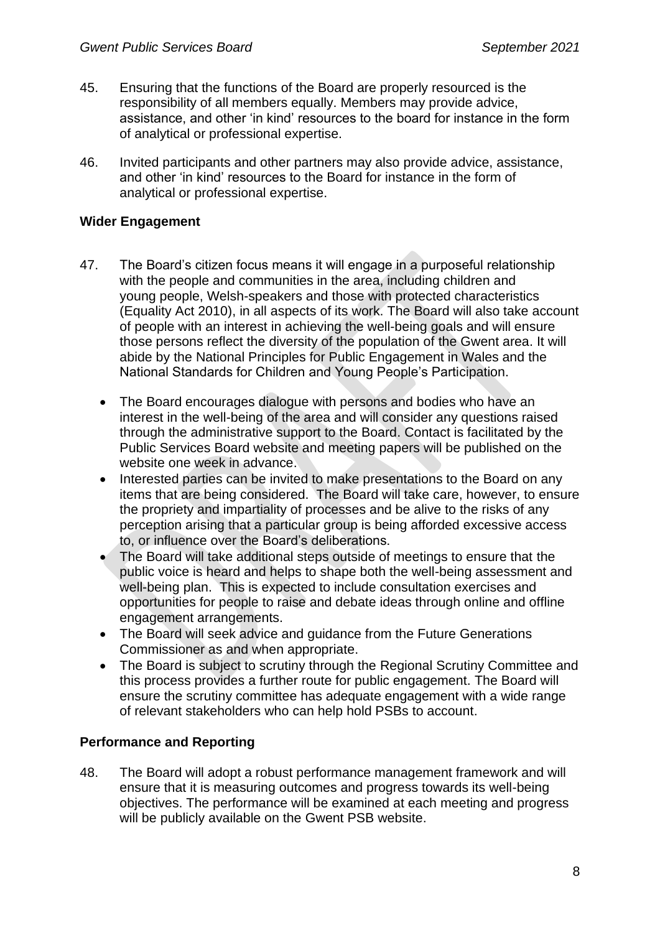- 45. Ensuring that the functions of the Board are properly resourced is the responsibility of all members equally. Members may provide advice, assistance, and other 'in kind' resources to the board for instance in the form of analytical or professional expertise.
- 46. Invited participants and other partners may also provide advice, assistance, and other 'in kind' resources to the Board for instance in the form of analytical or professional expertise.

### **Wider Engagement**

- 47. The Board's citizen focus means it will engage in a purposeful relationship with the people and communities in the area, including children and young people, Welsh-speakers and those with protected characteristics (Equality Act 2010), in all aspects of its work. The Board will also take account of people with an interest in achieving the well-being goals and will ensure those persons reflect the diversity of the population of the Gwent area. It will abide by the National Principles for Public Engagement in Wales and the National Standards for Children and Young People's Participation.
	- The Board encourages dialogue with persons and bodies who have an interest in the well-being of the area and will consider any questions raised through the administrative support to the Board. Contact is facilitated by the Public Services Board website and meeting papers will be published on the website one week in advance.
	- Interested parties can be invited to make presentations to the Board on any items that are being considered. The Board will take care, however, to ensure the propriety and impartiality of processes and be alive to the risks of any perception arising that a particular group is being afforded excessive access to, or influence over the Board's deliberations.
	- The Board will take additional steps outside of meetings to ensure that the public voice is heard and helps to shape both the well-being assessment and well-being plan. This is expected to include consultation exercises and opportunities for people to raise and debate ideas through online and offline engagement arrangements.
	- The Board will seek advice and guidance from the Future Generations Commissioner as and when appropriate.
	- The Board is subject to scrutiny through the Regional Scrutiny Committee and this process provides a further route for public engagement. The Board will ensure the scrutiny committee has adequate engagement with a wide range of relevant stakeholders who can help hold PSBs to account.

# **Performance and Reporting**

48. The Board will adopt a robust performance management framework and will ensure that it is measuring outcomes and progress towards its well-being objectives. The performance will be examined at each meeting and progress will be publicly available on the Gwent PSB website.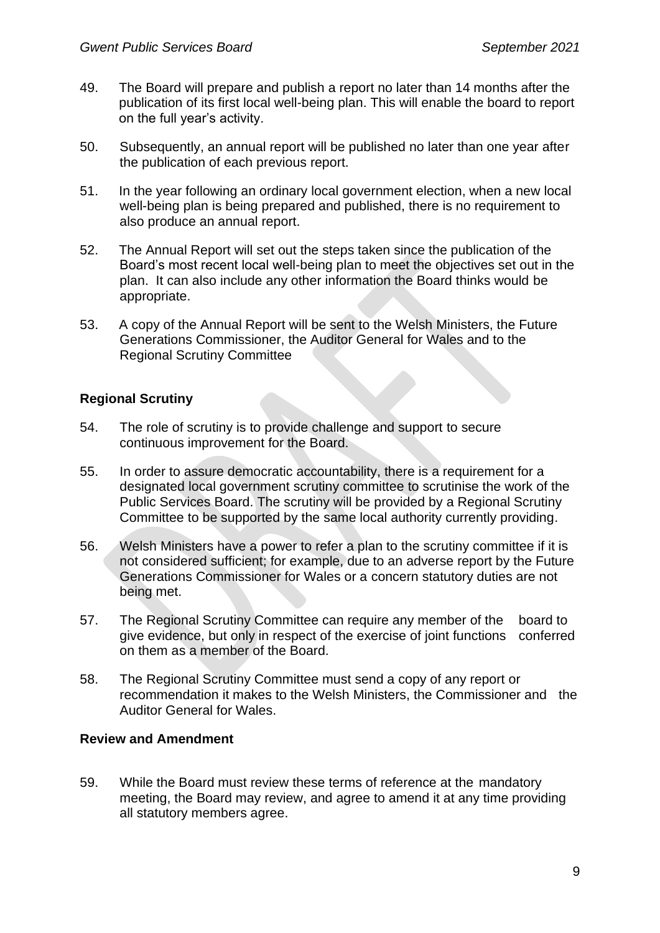- 49. The Board will prepare and publish a report no later than 14 months after the publication of its first local well-being plan. This will enable the board to report on the full year's activity.
- 50. Subsequently, an annual report will be published no later than one year after the publication of each previous report.
- 51. In the year following an ordinary local government election, when a new local well-being plan is being prepared and published, there is no requirement to also produce an annual report.
- 52. The Annual Report will set out the steps taken since the publication of the Board's most recent local well-being plan to meet the objectives set out in the plan. It can also include any other information the Board thinks would be appropriate.
- 53. A copy of the Annual Report will be sent to the Welsh Ministers, the Future Generations Commissioner, the Auditor General for Wales and to the Regional Scrutiny Committee

### **Regional Scrutiny**

- 54. The role of scrutiny is to provide challenge and support to secure continuous improvement for the Board.
- 55. In order to assure democratic accountability, there is a requirement for a designated local government scrutiny committee to scrutinise the work of the Public Services Board. The scrutiny will be provided by a Regional Scrutiny Committee to be supported by the same local authority currently providing.
- 56. Welsh Ministers have a power to refer a plan to the scrutiny committee if it is not considered sufficient; for example, due to an adverse report by the Future Generations Commissioner for Wales or a concern statutory duties are not being met.
- 57. The Regional Scrutiny Committee can require any member of the board to give evidence, but only in respect of the exercise of joint functions conferred on them as a member of the Board.
- 58. The Regional Scrutiny Committee must send a copy of any report or recommendation it makes to the Welsh Ministers, the Commissioner and the Auditor General for Wales.

#### **Review and Amendment**

59. While the Board must review these terms of reference at the mandatory meeting, the Board may review, and agree to amend it at any time providing all statutory members agree.